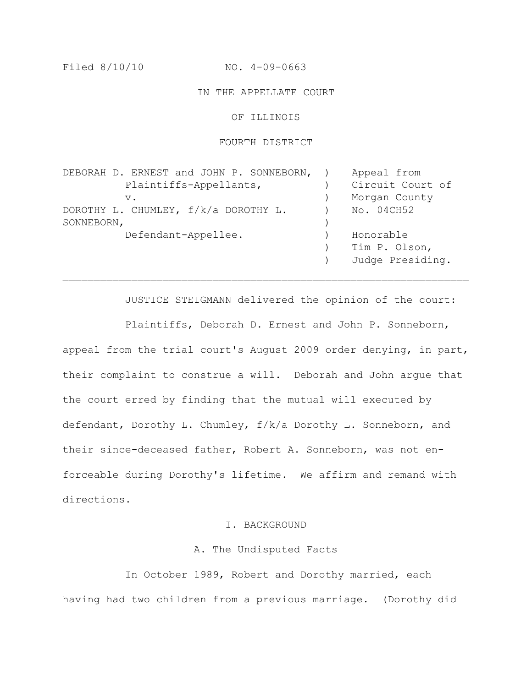Filed 8/10/10 NO. 4-09-0663

### IN THE APPELLATE COURT

### OF ILLINOIS

#### FOURTH DISTRICT

| DEBORAH D. ERNEST and JOHN P. SONNEBORN, | Appeal from      |
|------------------------------------------|------------------|
| Plaintiffs-Appellants,                   | Circuit Court of |
| $V$ .                                    | Morgan County    |
| DOROTHY L. CHUMLEY, f/k/a DOROTHY L.     | No. 04CH52       |
| SONNEBORN,                               |                  |
| Defendant-Appellee.                      | Honorable        |
|                                          | Tim P. Olson,    |
|                                          | Judge Presiding. |

 $\mathcal{L}_\text{max} = \mathcal{L}_\text{max} = \mathcal{L}_\text{max} = \mathcal{L}_\text{max} = \mathcal{L}_\text{max} = \mathcal{L}_\text{max} = \mathcal{L}_\text{max} = \mathcal{L}_\text{max} = \mathcal{L}_\text{max} = \mathcal{L}_\text{max} = \mathcal{L}_\text{max} = \mathcal{L}_\text{max} = \mathcal{L}_\text{max} = \mathcal{L}_\text{max} = \mathcal{L}_\text{max} = \mathcal{L}_\text{max} = \mathcal{L}_\text{max} = \mathcal{L}_\text{max} = \mathcal{$ 

JUSTICE STEIGMANN delivered the opinion of the court: Plaintiffs, Deborah D. Ernest and John P. Sonneborn, appeal from the trial court's August 2009 order denying, in part, their complaint to construe a will. Deborah and John argue that the court erred by finding that the mutual will executed by defendant, Dorothy L. Chumley, f/k/a Dorothy L. Sonneborn, and their since-deceased father, Robert A. Sonneborn, was not enforceable during Dorothy's lifetime. We affirm and remand with directions.

## I. BACKGROUND

### A. The Undisputed Facts

In October 1989, Robert and Dorothy married, each having had two children from a previous marriage. (Dorothy did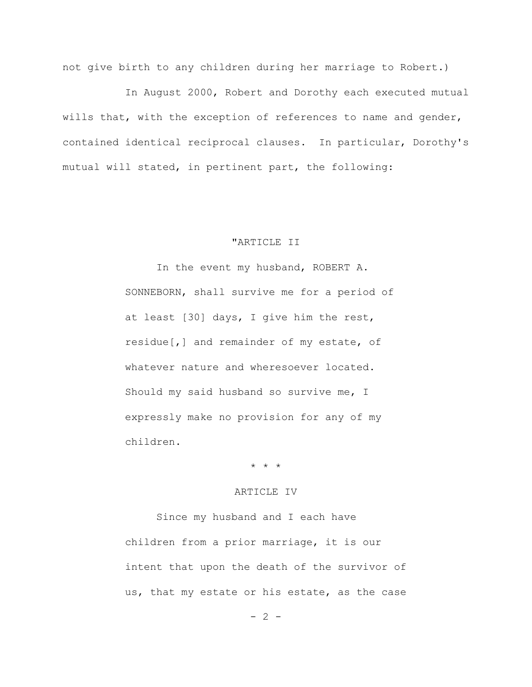not give birth to any children during her marriage to Robert.)

In August 2000, Robert and Dorothy each executed mutual wills that, with the exception of references to name and gender, contained identical reciprocal clauses. In particular, Dorothy's mutual will stated, in pertinent part, the following:

### "ARTICLE II

In the event my husband, ROBERT A. SONNEBORN, shall survive me for a period of at least [30] days, I give him the rest, residue[,] and remainder of my estate, of whatever nature and wheresoever located. Should my said husband so survive me, I expressly make no provision for any of my children.

\* \* \*

## ARTICLE IV

Since my husband and I each have children from a prior marriage, it is our intent that upon the death of the survivor of us, that my estate or his estate, as the case

 $- 2 -$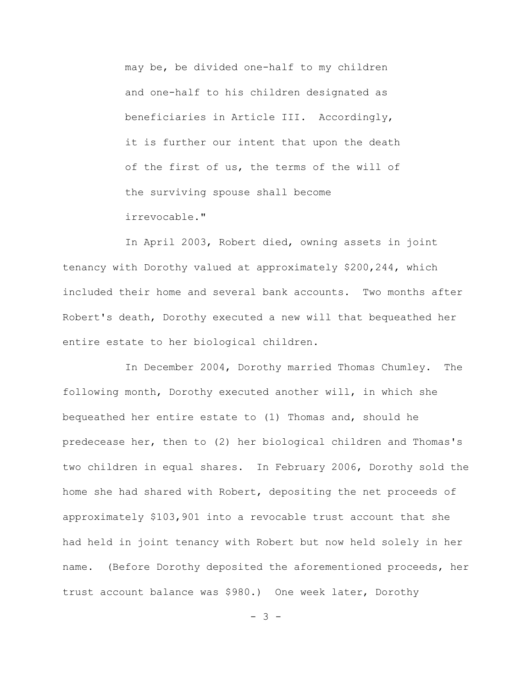may be, be divided one-half to my children and one-half to his children designated as beneficiaries in Article III. Accordingly, it is further our intent that upon the death of the first of us, the terms of the will of the surviving spouse shall become irrevocable."

In April 2003, Robert died, owning assets in joint tenancy with Dorothy valued at approximately \$200,244, which included their home and several bank accounts. Two months after Robert's death, Dorothy executed a new will that bequeathed her entire estate to her biological children.

In December 2004, Dorothy married Thomas Chumley. The following month, Dorothy executed another will, in which she bequeathed her entire estate to (1) Thomas and, should he predecease her, then to (2) her biological children and Thomas's two children in equal shares. In February 2006, Dorothy sold the home she had shared with Robert, depositing the net proceeds of approximately \$103,901 into a revocable trust account that she had held in joint tenancy with Robert but now held solely in her name. (Before Dorothy deposited the aforementioned proceeds, her trust account balance was \$980.) One week later, Dorothy

- 3 -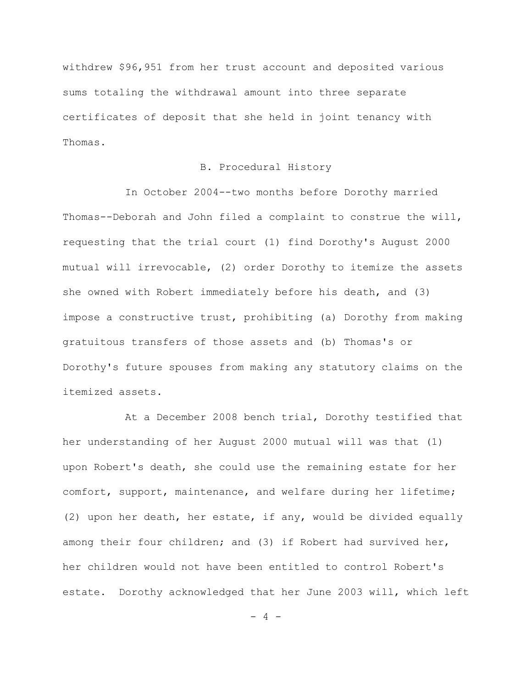withdrew \$96,951 from her trust account and deposited various sums totaling the withdrawal amount into three separate certificates of deposit that she held in joint tenancy with Thomas.

## B. Procedural History

In October 2004--two months before Dorothy married Thomas--Deborah and John filed a complaint to construe the will, requesting that the trial court (1) find Dorothy's August 2000 mutual will irrevocable, (2) order Dorothy to itemize the assets she owned with Robert immediately before his death, and (3) impose a constructive trust, prohibiting (a) Dorothy from making gratuitous transfers of those assets and (b) Thomas's or Dorothy's future spouses from making any statutory claims on the itemized assets.

At a December 2008 bench trial, Dorothy testified that her understanding of her August 2000 mutual will was that (1) upon Robert's death, she could use the remaining estate for her comfort, support, maintenance, and welfare during her lifetime; (2) upon her death, her estate, if any, would be divided equally among their four children; and (3) if Robert had survived her, her children would not have been entitled to control Robert's estate. Dorothy acknowledged that her June 2003 will, which left

- 4 -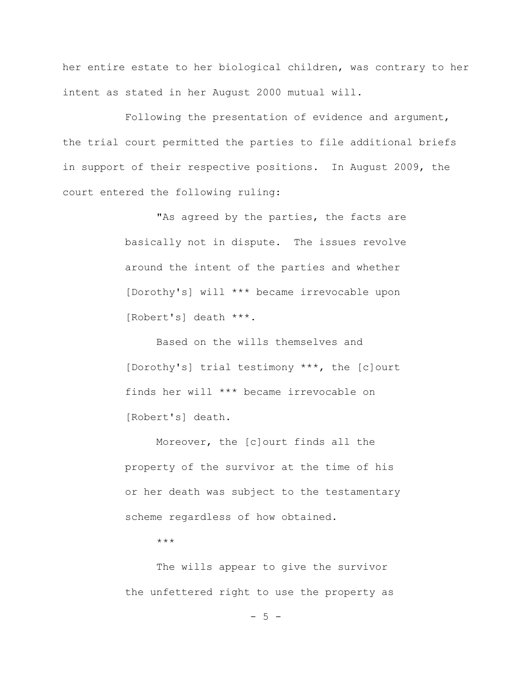her entire estate to her biological children, was contrary to her intent as stated in her August 2000 mutual will.

Following the presentation of evidence and argument, the trial court permitted the parties to file additional briefs in support of their respective positions. In August 2009, the court entered the following ruling:

> "As agreed by the parties, the facts are basically not in dispute. The issues revolve around the intent of the parties and whether [Dorothy's] will \*\*\* became irrevocable upon [Robert's] death \*\*\*.

Based on the wills themselves and [Dorothy's] trial testimony \*\*\*, the [c]ourt finds her will \*\*\* became irrevocable on [Robert's] death.

Moreover, the [c]ourt finds all the property of the survivor at the time of his or her death was subject to the testamentary scheme regardless of how obtained.

\*\*\*

The wills appear to give the survivor the unfettered right to use the property as

 $-5 -$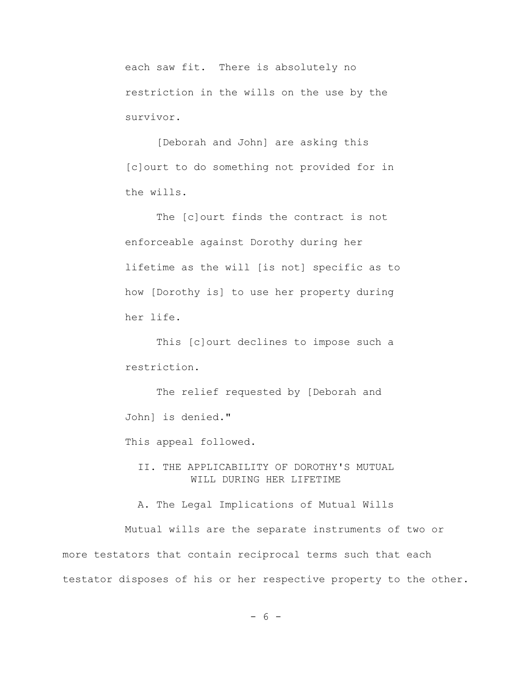each saw fit. There is absolutely no restriction in the wills on the use by the survivor.

[Deborah and John] are asking this [c]ourt to do something not provided for in the wills.

The [c]ourt finds the contract is not enforceable against Dorothy during her lifetime as the will [is not] specific as to how [Dorothy is] to use her property during her life.

This [c]ourt declines to impose such a restriction.

The relief requested by [Deborah and John] is denied."

This appeal followed.

II. THE APPLICABILITY OF DOROTHY'S MUTUAL WILL DURING HER LIFETIME

A. The Legal Implications of Mutual Wills

Mutual wills are the separate instruments of two or more testators that contain reciprocal terms such that each testator disposes of his or her respective property to the other.

- 6 -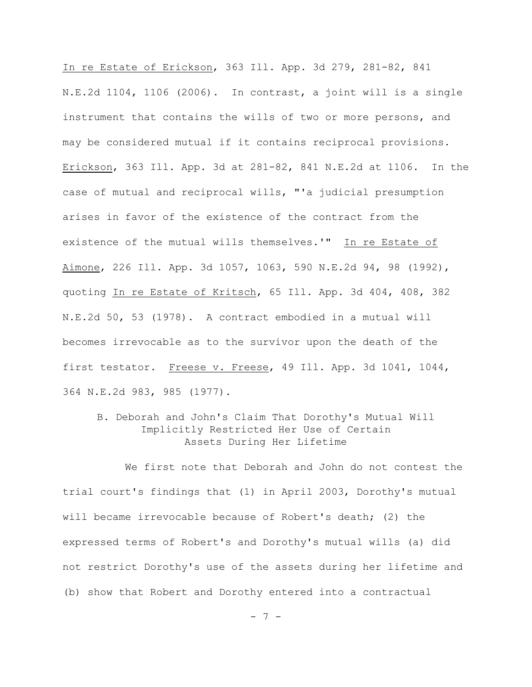In re Estate of Erickson, 363 Ill. App. 3d 279, 281-82, 841 N.E.2d 1104, 1106 (2006). In contrast, a joint will is a single instrument that contains the wills of two or more persons, and may be considered mutual if it contains reciprocal provisions. Erickson, 363 Ill. App. 3d at 281-82, 841 N.E.2d at 1106. In the case of mutual and reciprocal wills, "'a judicial presumption arises in favor of the existence of the contract from the existence of the mutual wills themselves.'" In re Estate of Aimone, 226 Ill. App. 3d 1057, 1063, 590 N.E.2d 94, 98 (1992), quoting In re Estate of Kritsch, 65 Ill. App. 3d 404, 408, 382 N.E.2d 50, 53 (1978). A contract embodied in a mutual will becomes irrevocable as to the survivor upon the death of the first testator. Freese v. Freese, 49 Ill. App. 3d 1041, 1044, 364 N.E.2d 983, 985 (1977).

## B. Deborah and John's Claim That Dorothy's Mutual Will Implicitly Restricted Her Use of Certain Assets During Her Lifetime

We first note that Deborah and John do not contest the trial court's findings that (1) in April 2003, Dorothy's mutual will became irrevocable because of Robert's death; (2) the expressed terms of Robert's and Dorothy's mutual wills (a) did not restrict Dorothy's use of the assets during her lifetime and (b) show that Robert and Dorothy entered into a contractual

- 7 -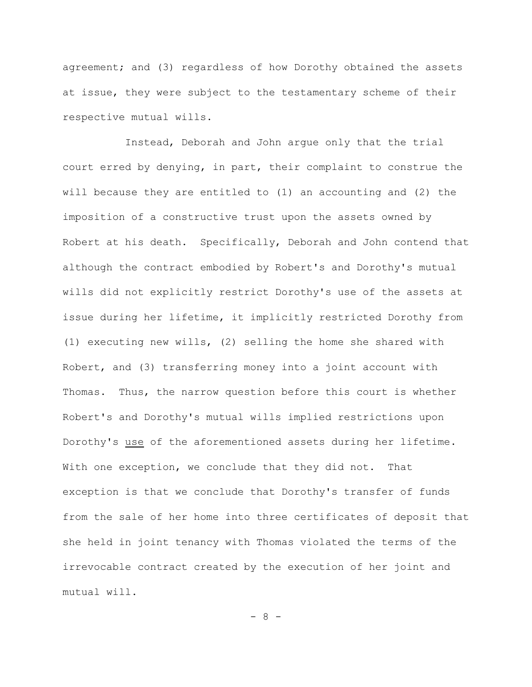agreement; and (3) regardless of how Dorothy obtained the assets at issue, they were subject to the testamentary scheme of their respective mutual wills.

Instead, Deborah and John argue only that the trial court erred by denying, in part, their complaint to construe the will because they are entitled to (1) an accounting and (2) the imposition of a constructive trust upon the assets owned by Robert at his death. Specifically, Deborah and John contend that although the contract embodied by Robert's and Dorothy's mutual wills did not explicitly restrict Dorothy's use of the assets at issue during her lifetime, it implicitly restricted Dorothy from (1) executing new wills, (2) selling the home she shared with Robert, and (3) transferring money into a joint account with Thomas. Thus, the narrow question before this court is whether Robert's and Dorothy's mutual wills implied restrictions upon Dorothy's use of the aforementioned assets during her lifetime. With one exception, we conclude that they did not. That exception is that we conclude that Dorothy's transfer of funds from the sale of her home into three certificates of deposit that she held in joint tenancy with Thomas violated the terms of the irrevocable contract created by the execution of her joint and mutual will.

- 8 -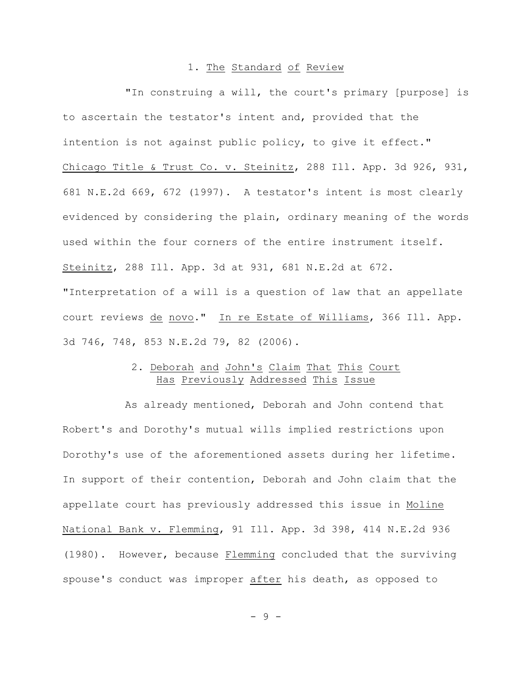### 1. The Standard of Review

"In construing a will, the court's primary [purpose] is to ascertain the testator's intent and, provided that the intention is not against public policy, to give it effect." Chicago Title & Trust Co. v. Steinitz, 288 Ill. App. 3d 926, 931, 681 N.E.2d 669, 672 (1997). A testator's intent is most clearly evidenced by considering the plain, ordinary meaning of the words used within the four corners of the entire instrument itself. Steinitz, 288 Ill. App. 3d at 931, 681 N.E.2d at 672. "Interpretation of a will is a question of law that an appellate

court reviews de novo." In re Estate of Williams, 366 Ill. App. 3d 746, 748, 853 N.E.2d 79, 82 (2006).

## 2. Deborah and John's Claim That This Court Has Previously Addressed This Issue

As already mentioned, Deborah and John contend that Robert's and Dorothy's mutual wills implied restrictions upon Dorothy's use of the aforementioned assets during her lifetime. In support of their contention, Deborah and John claim that the appellate court has previously addressed this issue in Moline National Bank v. Flemming, 91 Ill. App. 3d 398, 414 N.E.2d 936 (1980). However, because Flemming concluded that the surviving spouse's conduct was improper after his death, as opposed to

- 9 -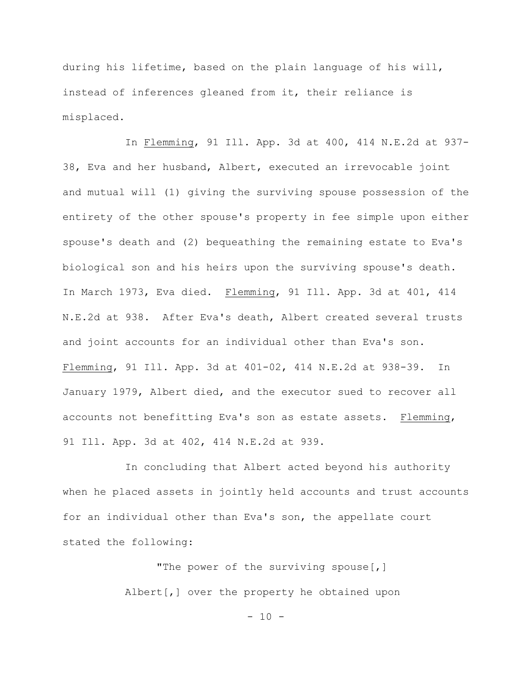during his lifetime, based on the plain language of his will, instead of inferences gleaned from it, their reliance is misplaced.

In Flemming, 91 Ill. App. 3d at 400, 414 N.E.2d at 937- 38, Eva and her husband, Albert, executed an irrevocable joint and mutual will (1) giving the surviving spouse possession of the entirety of the other spouse's property in fee simple upon either spouse's death and (2) bequeathing the remaining estate to Eva's biological son and his heirs upon the surviving spouse's death. In March 1973, Eva died. Flemming, 91 Ill. App. 3d at 401, 414 N.E.2d at 938. After Eva's death, Albert created several trusts and joint accounts for an individual other than Eva's son. Flemming, 91 Ill. App. 3d at 401-02, 414 N.E.2d at 938-39. In January 1979, Albert died, and the executor sued to recover all accounts not benefitting Eva's son as estate assets. Flemming, 91 Ill. App. 3d at 402, 414 N.E.2d at 939.

In concluding that Albert acted beyond his authority when he placed assets in jointly held accounts and trust accounts for an individual other than Eva's son, the appellate court stated the following:

> "The power of the surviving spouse[,] Albert[,] over the property he obtained upon

> > $- 10 -$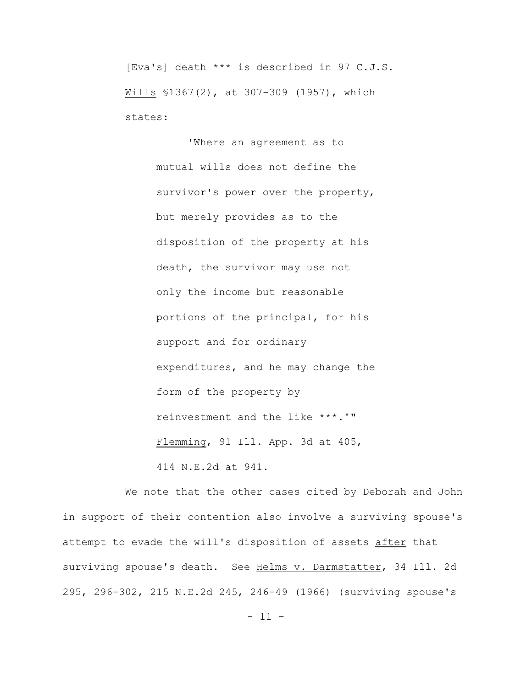[Eva's] death \*\*\* is described in 97 C.J.S. Wills §1367(2), at 307-309 (1957), which states:

> 'Where an agreement as to mutual wills does not define the survivor's power over the property, but merely provides as to the disposition of the property at his death, the survivor may use not only the income but reasonable portions of the principal, for his support and for ordinary expenditures, and he may change the form of the property by reinvestment and the like \*\*\*.'" Flemming, 91 Ill. App. 3d at 405, 414 N.E.2d at 941.

We note that the other cases cited by Deborah and John in support of their contention also involve a surviving spouse's attempt to evade the will's disposition of assets after that surviving spouse's death. See Helms v. Darmstatter, 34 Ill. 2d 295, 296-302, 215 N.E.2d 245, 246-49 (1966) (surviving spouse's

 $- 11 -$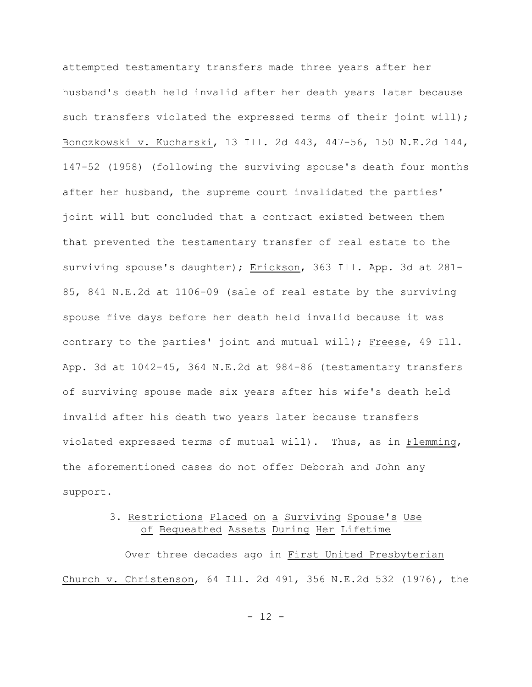attempted testamentary transfers made three years after her husband's death held invalid after her death years later because such transfers violated the expressed terms of their joint will); Bonczkowski v. Kucharski, 13 Ill. 2d 443, 447-56, 150 N.E.2d 144, 147-52 (1958) (following the surviving spouse's death four months after her husband, the supreme court invalidated the parties' joint will but concluded that a contract existed between them that prevented the testamentary transfer of real estate to the surviving spouse's daughter); Erickson, 363 Ill. App. 3d at 281-85, 841 N.E.2d at 1106-09 (sale of real estate by the surviving spouse five days before her death held invalid because it was contrary to the parties' joint and mutual will); Freese, 49 Ill. App. 3d at 1042-45, 364 N.E.2d at 984-86 (testamentary transfers of surviving spouse made six years after his wife's death held invalid after his death two years later because transfers violated expressed terms of mutual will). Thus, as in Flemming, the aforementioned cases do not offer Deborah and John any support.

# 3. Restrictions Placed on a Surviving Spouse's Use of Bequeathed Assets During Her Lifetime

Over three decades ago in First United Presbyterian Church v. Christenson, 64 Ill. 2d 491, 356 N.E.2d 532 (1976), the

 $- 12 -$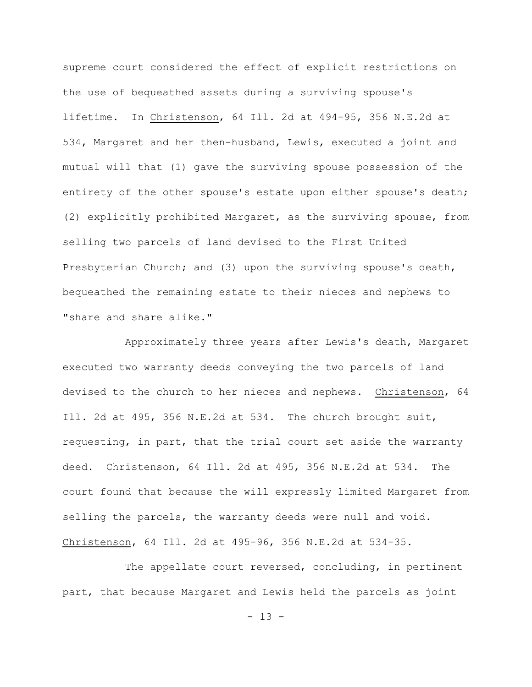supreme court considered the effect of explicit restrictions on the use of bequeathed assets during a surviving spouse's lifetime. In Christenson, 64 Ill. 2d at 494-95, 356 N.E.2d at 534, Margaret and her then-husband, Lewis, executed a joint and mutual will that (1) gave the surviving spouse possession of the entirety of the other spouse's estate upon either spouse's death; (2) explicitly prohibited Margaret, as the surviving spouse, from selling two parcels of land devised to the First United Presbyterian Church; and (3) upon the surviving spouse's death, bequeathed the remaining estate to their nieces and nephews to "share and share alike."

Approximately three years after Lewis's death, Margaret executed two warranty deeds conveying the two parcels of land devised to the church to her nieces and nephews. Christenson, 64 Ill. 2d at 495, 356 N.E.2d at 534. The church brought suit, requesting, in part, that the trial court set aside the warranty deed. Christenson, 64 Ill. 2d at 495, 356 N.E.2d at 534. The court found that because the will expressly limited Margaret from selling the parcels, the warranty deeds were null and void. Christenson, 64 Ill. 2d at 495-96, 356 N.E.2d at 534-35.

The appellate court reversed, concluding, in pertinent part, that because Margaret and Lewis held the parcels as joint

 $- 13 -$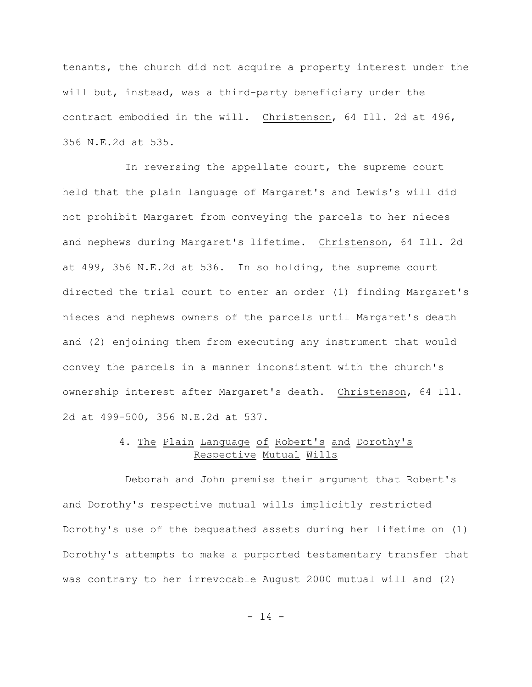tenants, the church did not acquire a property interest under the will but, instead, was a third-party beneficiary under the contract embodied in the will. Christenson, 64 Ill. 2d at 496, 356 N.E.2d at 535.

In reversing the appellate court, the supreme court held that the plain language of Margaret's and Lewis's will did not prohibit Margaret from conveying the parcels to her nieces and nephews during Margaret's lifetime. Christenson, 64 Ill. 2d at 499, 356 N.E.2d at 536. In so holding, the supreme court directed the trial court to enter an order (1) finding Margaret's nieces and nephews owners of the parcels until Margaret's death and (2) enjoining them from executing any instrument that would convey the parcels in a manner inconsistent with the church's ownership interest after Margaret's death. Christenson, 64 Ill. 2d at 499-500, 356 N.E.2d at 537.

## 4. The Plain Language of Robert's and Dorothy's Respective Mutual Wills

Deborah and John premise their argument that Robert's and Dorothy's respective mutual wills implicitly restricted Dorothy's use of the bequeathed assets during her lifetime on (1) Dorothy's attempts to make a purported testamentary transfer that was contrary to her irrevocable August 2000 mutual will and (2)

 $- 14 -$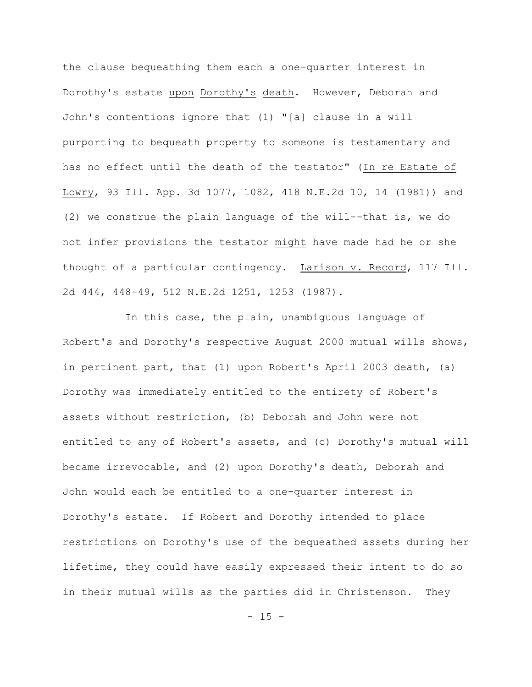the clause bequeathing them each a one-quarter interest in Dorothy's estate upon Dorothy's death. However, Deborah and John's contentions ignore that (1) "[a] clause in a will purporting to bequeath property to someone is testamentary and has no effect until the death of the testator" (In re Estate of Lowry, 93 Ill. App. 3d 1077, 1082, 418 N.E.2d 10, 14 (1981)) and (2) we construe the plain language of the will--that is, we do not infer provisions the testator might have made had he or she thought of a particular contingency. Larison v. Record, 117 Ill. 2d 444, 448-49, 512 N.E.2d 1251, 1253 (1987).

In this case, the plain, unambiguous language of Robert's and Dorothy's respective August 2000 mutual wills shows, in pertinent part, that (1) upon Robert's April 2003 death, (a) Dorothy was immediately entitled to the entirety of Robert's assets without restriction, (b) Deborah and John were not entitled to any of Robert's assets, and (c) Dorothy's mutual will became irrevocable, and (2) upon Dorothy's death, Deborah and John would each be entitled to a one-quarter interest in Dorothy's estate. If Robert and Dorothy intended to place restrictions on Dorothy's use of the bequeathed assets during her lifetime, they could have easily expressed their intent to do so in their mutual wills as the parties did in Christenson. They

 $- 15 -$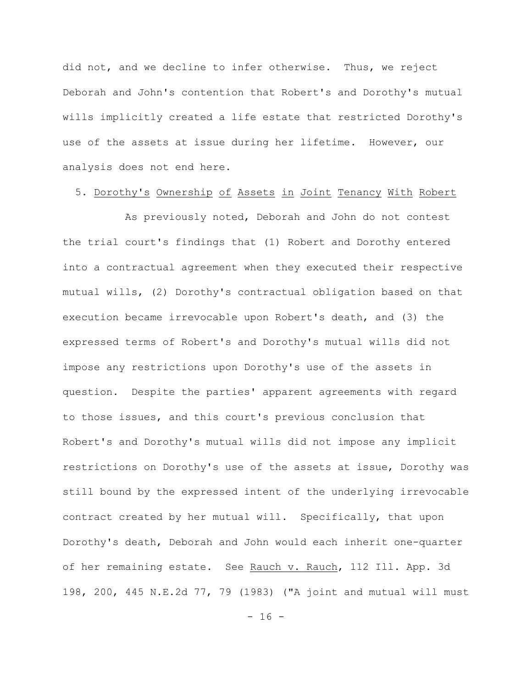did not, and we decline to infer otherwise. Thus, we reject Deborah and John's contention that Robert's and Dorothy's mutual wills implicitly created a life estate that restricted Dorothy's use of the assets at issue during her lifetime. However, our analysis does not end here.

### 5. Dorothy's Ownership of Assets in Joint Tenancy With Robert

As previously noted, Deborah and John do not contest the trial court's findings that (1) Robert and Dorothy entered into a contractual agreement when they executed their respective mutual wills, (2) Dorothy's contractual obligation based on that execution became irrevocable upon Robert's death, and (3) the expressed terms of Robert's and Dorothy's mutual wills did not impose any restrictions upon Dorothy's use of the assets in question. Despite the parties' apparent agreements with regard to those issues, and this court's previous conclusion that Robert's and Dorothy's mutual wills did not impose any implicit restrictions on Dorothy's use of the assets at issue, Dorothy was still bound by the expressed intent of the underlying irrevocable contract created by her mutual will. Specifically, that upon Dorothy's death, Deborah and John would each inherit one-quarter of her remaining estate. See Rauch v. Rauch, 112 Ill. App. 3d 198, 200, 445 N.E.2d 77, 79 (1983) ("A joint and mutual will must

 $- 16 -$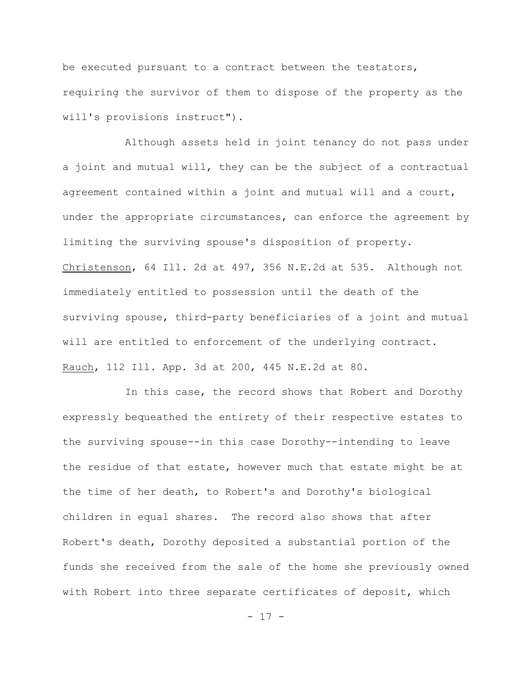be executed pursuant to a contract between the testators, requiring the survivor of them to dispose of the property as the will's provisions instruct").

Although assets held in joint tenancy do not pass under a joint and mutual will, they can be the subject of a contractual agreement contained within a joint and mutual will and a court, under the appropriate circumstances, can enforce the agreement by limiting the surviving spouse's disposition of property. Christenson, 64 Ill. 2d at 497, 356 N.E.2d at 535. Although not immediately entitled to possession until the death of the surviving spouse, third-party beneficiaries of a joint and mutual will are entitled to enforcement of the underlying contract. Rauch, 112 Ill. App. 3d at 200, 445 N.E.2d at 80.

In this case, the record shows that Robert and Dorothy expressly bequeathed the entirety of their respective estates to the surviving spouse--in this case Dorothy--intending to leave the residue of that estate, however much that estate might be at the time of her death, to Robert's and Dorothy's biological children in equal shares. The record also shows that after Robert's death, Dorothy deposited a substantial portion of the funds she received from the sale of the home she previously owned with Robert into three separate certificates of deposit, which

 $- 17 -$